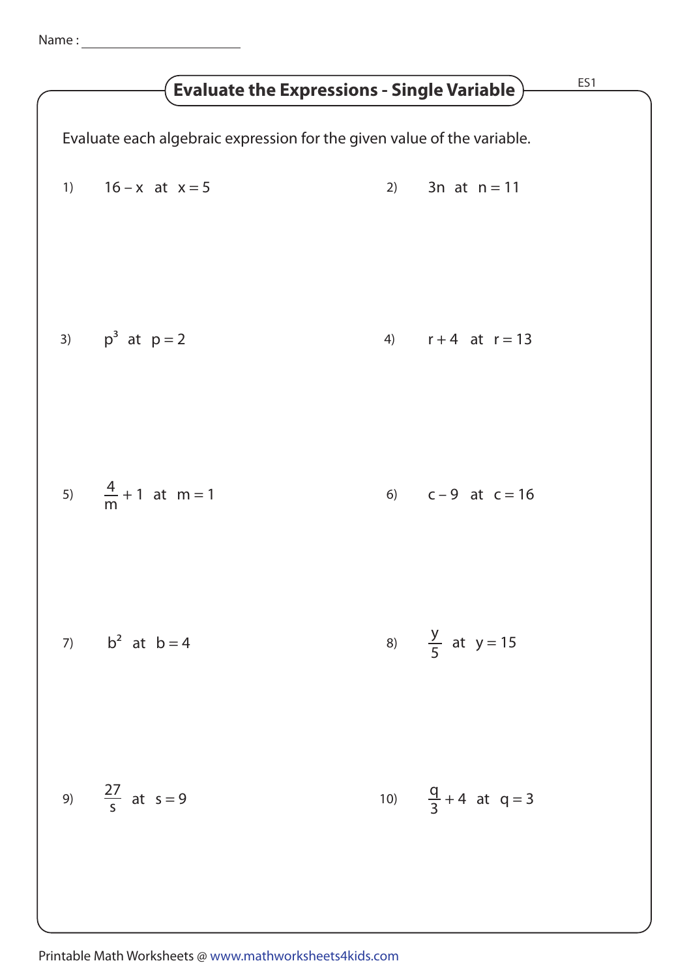| ES1<br><b>Evaluate the Expressions - Single Variable</b>                |                               |  |                                |  |
|-------------------------------------------------------------------------|-------------------------------|--|--------------------------------|--|
| Evaluate each algebraic expression for the given value of the variable. |                               |  |                                |  |
|                                                                         | 1) $16-x$ at $x=5$            |  | 2) 3n at $n = 11$              |  |
|                                                                         | 3) $p^3$ at $p = 2$           |  | 4) $r+4$ at $r=13$             |  |
|                                                                         | 5) $\frac{4}{m} + 1$ at m = 1 |  | 6) $c-9$ at $c=16$             |  |
|                                                                         | 7) $b^2$ at $b = 4$           |  | 8) $\frac{y}{5}$ at y = 15     |  |
|                                                                         | 9) $\frac{27}{5}$ at s = 9    |  | 10) $\frac{q}{3} + 4$ at q = 3 |  |